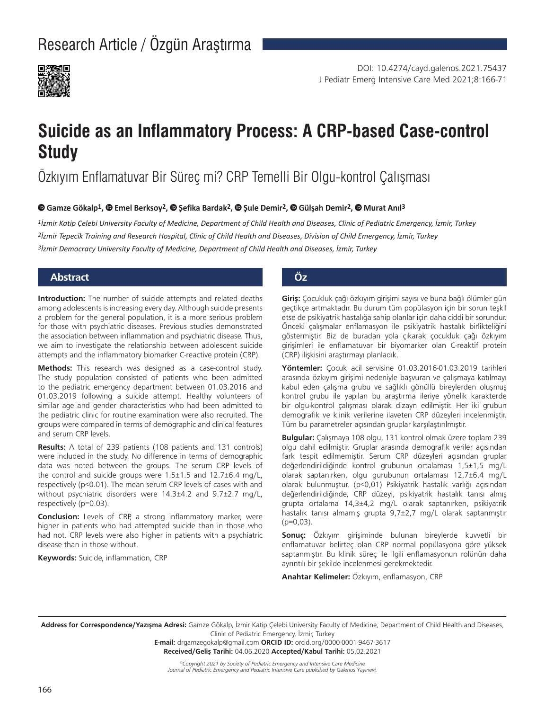

# **Suicide as an Inflammatory Process: A CRP-based Case-control Study**

## Özkıyım Enflamatuvar Bir Süreç mi? CRP Temelli Bir Olgu-kontrol Çalışması

#### **Gamze Gökalp1,Emel Berksoy2,Şefika Bardak2,Şule Demir2,Gülşah Demir2, Murat Anıl3**

*1İzmir Katip Çelebi University Faculty of Medicine, Department of Child Health and Diseases, Clinic of Pediatric Emergency, İzmir, Turkey 2İzmir Tepecik Training and Research Hospital, Clinic of Child Health and Diseases, Division of Child Emergency, İzmir, Turkey 3İzmir Democracy University Faculty of Medicine, Department of Child Health and Diseases, İzmir, Turkey*

#### **Abstract Öz**

**Introduction:** The number of suicide attempts and related deaths among adolescents is increasing every day. Although suicide presents a problem for the general population, it is a more serious problem for those with psychiatric diseases. Previous studies demonstrated the association between inflammation and psychiatric disease. Thus, we aim to investigate the relationship between adolescent suicide attempts and the inflammatory biomarker C-reactive protein (CRP).

**Methods:** This research was designed as a case-control study. The study population consisted of patients who been admitted to the pediatric emergency department between 01.03.2016 and 01.03.2019 following a suicide attempt. Healthy volunteers of similar age and gender characteristics who had been admitted to the pediatric clinic for routine examination were also recruited. The groups were compared in terms of demographic and clinical features and serum CRP levels.

**Results:** A total of 239 patients (108 patients and 131 controls) were included in the study. No difference in terms of demographic data was noted between the groups. The serum CRP levels of the control and suicide groups were  $1.5\pm1.5$  and  $12.7\pm6.4$  mg/L, respectively (p<0.01). The mean serum CRP levels of cases with and without psychiatric disorders were 14.3±4.2 and 9.7±2.7 mg/L, respectively (p=0.03).

**Conclusion:** Levels of CRP, a strong inflammatory marker, were higher in patients who had attempted suicide than in those who had not. CRP levels were also higher in patients with a psychiatric disease than in those without.

**Keywords:** Suicide, inflammation, CRP

**Giriş:** Çocukluk çağı özkıyım girişimi sayısı ve buna bağlı ölümler gün geçtikçe artmaktadır. Bu durum tüm popülasyon için bir sorun teşkil etse de psikiyatrik hastalığa sahip olanlar için daha ciddi bir sorundur. Önceki çalışmalar enflamasyon ile psikiyatrik hastalık birlikteliğini göstermiştir. Biz de buradan yola çıkarak çocukluk çağı özkıyım girişimleri ile enflamatuvar bir biyomarker olan C-reaktif protein (CRP) ilişkisini araştırmayı planladık.

**Yöntemler:** Çocuk acil servisine 01.03.2016-01.03.2019 tarihleri arasında özkıyım girişimi nedeniyle başvuran ve çalışmaya katılmayı kabul eden çalışma grubu ve sağlıklı gönüllü bireylerden oluşmuş kontrol grubu ile yapılan bu araştırma ileriye yönelik karakterde bir olgu-kontrol çalışması olarak dizayn edilmiştir. Her iki grubun demografik ve klinik verilerine ilaveten CRP düzeyleri incelenmiştir. Tüm bu parametreler açısından gruplar karşılaştırılmıştır.

**Bulgular:** Çalışmaya 108 olgu, 131 kontrol olmak üzere toplam 239 olgu dahil edilmiştir. Gruplar arasında demografik veriler açısından fark tespit edilmemiştir. Serum CRP düzeyleri açısından gruplar değerlendirildiğinde kontrol grubunun ortalaması 1,5±1,5 mg/L olarak saptanırken, olgu gurubunun ortalaması 12,7±6,4 mg/L olarak bulunmuştur. (p<0,01) Psikiyatrik hastalık varlığı açısından değerlendirildiğinde, CRP düzeyi, psikiyatrik hastalık tanısı almış grupta ortalama 14,3±4,2 mg/L olarak saptanırken, psikiyatrik hastalık tanısı almamış grupta 9,7±2,7 mg/L olarak saptanmıştır  $(p=0,03)$ .

**Sonuç:** Özkıyım girişiminde bulunan bireylerde kuvvetli bir enflamatuvar belirteç olan CRP normal popülasyona göre yüksek saptanmıştır. Bu klinik süreç ile ilgili enflamasyonun rolünün daha ayrıntılı bir şekilde incelenmesi gerekmektedir.

**Anahtar Kelimeler:** Özkıyım, enflamasyon, CRP

**Address for Correspondence/Yazışma Adresi:** Gamze Gökalp, İzmir Katip Çelebi University Faculty of Medicine, Department of Child Health and Diseases, Clinic of Pediatric Emergency, İzmir, Turkey

> **E-mail:** drgamzegokalp@gmail.com **ORCID ID:** orcid.org/0000-0001-9467-3617 **Received/Geliş Tarihi:** 04.06.2020 **Accepted/Kabul Tarihi:** 05.02.2021

*©Copyright 2021 by Society of Pediatric Emergency and Intensive Care Medicine Journal of Pediatric Emergency and Pediatric Intensive Care published by Galenos Yayınevi.*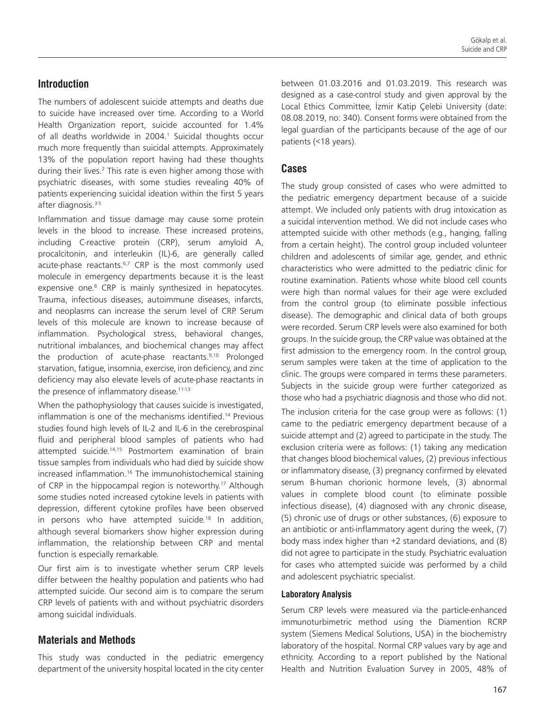#### **Introduction**

The numbers of adolescent suicide attempts and deaths due to suicide have increased over time. According to a World Health Organization report, suicide accounted for 1.4% of all deaths worldwide in 2004.<sup>1</sup> Suicidal thoughts occur much more frequently than suicidal attempts. Approximately 13% of the population report having had these thoughts during their lives.<sup>2</sup> This rate is even higher among those with psychiatric diseases, with some studies revealing 40% of patients experiencing suicidal ideation within the first 5 years after diagnosis.<sup>3-5</sup>

Inflammation and tissue damage may cause some protein levels in the blood to increase. These increased proteins, including C-reactive protein (CRP), serum amyloid A, procalcitonin, and interleukin (IL)-6, are generally called acute-phase reactants.<sup>6,7</sup> CRP is the most commonly used molecule in emergency departments because it is the least expensive one.<sup>8</sup> CRP is mainly synthesized in hepatocytes. Trauma, infectious diseases, autoimmune diseases, infarcts, and neoplasms can increase the serum level of CRP. Serum levels of this molecule are known to increase because of inflammation. Psychological stress, behavioral changes, nutritional imbalances, and biochemical changes may affect the production of acute-phase reactants.<sup>9,10</sup> Prolonged starvation, fatigue, insomnia, exercise, iron deficiency, and zinc deficiency may also elevate levels of acute-phase reactants in the presence of inflammatory disease.<sup>11-13</sup>

When the pathophysiology that causes suicide is investigated, inflammation is one of the mechanisms identified.14 Previous studies found high levels of IL-2 and IL-6 in the cerebrospinal fluid and peripheral blood samples of patients who had attempted suicide.14,15 Postmortem examination of brain tissue samples from individuals who had died by suicide show increased inflammation.<sup>16</sup> The immunohistochemical staining of CRP in the hippocampal region is noteworthy.<sup>17</sup> Although some studies noted increased cytokine levels in patients with depression, different cytokine profiles have been observed in persons who have attempted suicide.<sup>18</sup> In addition, although several biomarkers show higher expression during inflammation, the relationship between CRP and mental function is especially remarkable.

Our first aim is to investigate whether serum CRP levels differ between the healthy population and patients who had attempted suicide. Our second aim is to compare the serum CRP levels of patients with and without psychiatric disorders among suicidal individuals.

#### **Materials and Methods**

This study was conducted in the pediatric emergency department of the university hospital located in the city center between 01.03.2016 and 01.03.2019. This research was designed as a case-control study and given approval by the Local Ethics Committee, İzmir Katip Çelebi University (date: 08.08.2019, no: 340). Consent forms were obtained from the legal guardian of the participants because of the age of our patients (<18 years).

#### **Cases**

The study group consisted of cases who were admitted to the pediatric emergency department because of a suicide attempt. We included only patients with drug intoxication as a suicidal intervention method. We did not include cases who attempted suicide with other methods (e.g., hanging, falling from a certain height). The control group included volunteer children and adolescents of similar age, gender, and ethnic characteristics who were admitted to the pediatric clinic for routine examination. Patients whose white blood cell counts were high than normal values for their age were excluded from the control group (to eliminate possible infectious disease). The demographic and clinical data of both groups were recorded. Serum CRP levels were also examined for both groups. In the suicide group, the CRP value was obtained at the first admission to the emergency room. In the control group, serum samples were taken at the time of application to the clinic. The groups were compared in terms these parameters. Subjects in the suicide group were further categorized as those who had a psychiatric diagnosis and those who did not.

The inclusion criteria for the case group were as follows: (1) came to the pediatric emergency department because of a suicide attempt and (2) agreed to participate in the study. The exclusion criteria were as follows: (1) taking any medication that changes blood biochemical values, (2) previous infectious or inflammatory disease, (3) pregnancy confirmed by elevated serum B-human chorionic hormone levels, (3) abnormal values in complete blood count (to eliminate possible infectious disease), (4) diagnosed with any chronic disease, (5) chronic use of drugs or other substances, (6) exposure to an antibiotic or anti-inflammatory agent during the week, (7) body mass index higher than +2 standard deviations, and (8) did not agree to participate in the study. Psychiatric evaluation for cases who attempted suicide was performed by a child and adolescent psychiatric specialist.

#### **Laboratory Analysis**

Serum CRP levels were measured via the particle-enhanced immunoturbimetric method using the Diamention RCRP system (Siemens Medical Solutions, USA) in the biochemistry laboratory of the hospital. Normal CRP values vary by age and ethnicity. According to a report published by the National Health and Nutrition Evaluation Survey in 2005, 48% of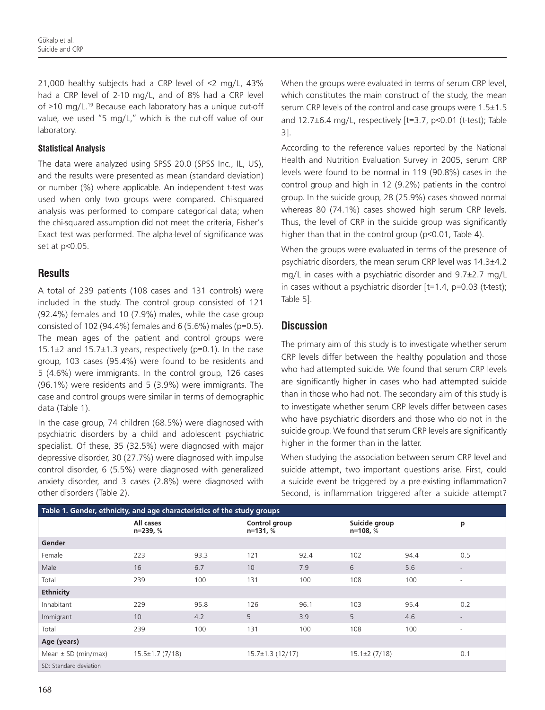21,000 healthy subjects had a CRP level of <2 mg/L, 43% had a CRP level of 2-10 mg/L, and of 8% had a CRP level of  $>10$  mg/L.<sup>19</sup> Because each laboratory has a unique cut-off value, we used "5 mg/L," which is the cut-off value of our laboratory.

#### **Statistical Analysis**

The data were analyzed using SPSS 20.0 (SPSS Inc., IL, US), and the results were presented as mean (standard deviation) or number (%) where applicable. An independent t-test was used when only two groups were compared. Chi-squared analysis was performed to compare categorical data; when the chi-squared assumption did not meet the criteria, Fisher's Exact test was performed. The alpha-level of significance was set at p<0.05.

#### **Results**

A total of 239 patients (108 cases and 131 controls) were included in the study. The control group consisted of 121 (92.4%) females and 10 (7.9%) males, while the case group consisted of 102 (94.4%) females and 6 (5.6%) males (p=0.5). The mean ages of the patient and control groups were 15.1 $\pm$ 2 and 15.7 $\pm$ 1.3 years, respectively (p=0.1). In the case group, 103 cases (95.4%) were found to be residents and 5 (4.6%) were immigrants. In the control group, 126 cases (96.1%) were residents and 5 (3.9%) were immigrants. The case and control groups were similar in terms of demographic data (Table 1).

In the case group, 74 children (68.5%) were diagnosed with psychiatric disorders by a child and adolescent psychiatric specialist. Of these, 35 (32.5%) were diagnosed with major depressive disorder, 30 (27.7%) were diagnosed with impulse control disorder, 6 (5.5%) were diagnosed with generalized anxiety disorder, and 3 cases (2.8%) were diagnosed with other disorders (Table 2).

When the groups were evaluated in terms of serum CRP level, which constitutes the main construct of the study, the mean serum CRP levels of the control and case groups were 1.5±1.5 and 12.7±6.4 mg/L, respectively [t=3.7, p<0.01 (t-test); Table 3].

According to the reference values reported by the National Health and Nutrition Evaluation Survey in 2005, serum CRP levels were found to be normal in 119 (90.8%) cases in the control group and high in 12 (9.2%) patients in the control group. In the suicide group, 28 (25.9%) cases showed normal whereas 80 (74.1%) cases showed high serum CRP levels. Thus, the level of CRP in the suicide group was significantly higher than that in the control group (p<0.01, Table 4).

When the groups were evaluated in terms of the presence of psychiatric disorders, the mean serum CRP level was 14.3±4.2 mg/L in cases with a psychiatric disorder and 9.7±2.7 mg/L in cases without a psychiatric disorder  $[t=1.4, p=0.03$  (t-test); Table 5].

#### **Discussion**

The primary aim of this study is to investigate whether serum CRP levels differ between the healthy population and those who had attempted suicide. We found that serum CRP levels are significantly higher in cases who had attempted suicide than in those who had not. The secondary aim of this study is to investigate whether serum CRP levels differ between cases who have psychiatric disorders and those who do not in the suicide group. We found that serum CRP levels are significantly higher in the former than in the latter.

When studying the association between serum CRP level and suicide attempt, two important questions arise. First, could a suicide event be triggered by a pre-existing inflammation? Second, is inflammation triggered after a suicide attempt?

| Table 1. Gender, ethnicity, and age characteristics of the study groups |                       |      |                             |      |                             |      |                          |
|-------------------------------------------------------------------------|-----------------------|------|-----------------------------|------|-----------------------------|------|--------------------------|
|                                                                         | All cases<br>n=239, % |      | Control group<br>$n=131, %$ |      | Suicide group<br>$n=108, %$ |      | p                        |
| Gender                                                                  |                       |      |                             |      |                             |      |                          |
| Female                                                                  | 223                   | 93.3 | 121                         | 92.4 | 102                         | 94.4 | 0.5                      |
| Male                                                                    | 16                    | 6.7  | 10                          | 7.9  | 6                           | 5.6  | $\overline{\phantom{a}}$ |
| Total                                                                   | 239                   | 100  | 131                         | 100  | 108                         | 100  | $\overline{\phantom{a}}$ |
| <b>Ethnicity</b>                                                        |                       |      |                             |      |                             |      |                          |
| Inhabitant                                                              | 229                   | 95.8 | 126                         | 96.1 | 103                         | 95.4 | 0.2                      |
| Immigrant                                                               | 10                    | 4.2  | 5                           | 3.9  | 5                           | 4.6  |                          |
| Total                                                                   | 239                   | 100  | 131                         | 100  | 108                         | 100  | $\sim$                   |
| Age (years)                                                             |                       |      |                             |      |                             |      |                          |
| Mean $\pm$ SD (min/max)                                                 | $15.5 \pm 1.7$ (7/18) |      | $15.7 \pm 1.3(12/17)$       |      | $15.1 \pm 2(7/18)$          |      | 0.1                      |
| SD: Standard deviation                                                  |                       |      |                             |      |                             |      |                          |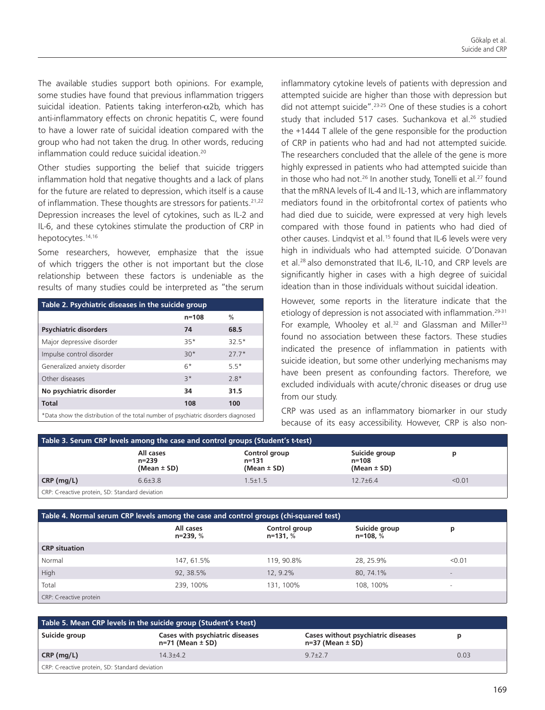The available studies support both opinions. For example, some studies have found that previous inflammation triggers suicidal ideation. Patients taking interferon- $\alpha$ 2b, which has anti-inflammatory effects on chronic hepatitis C, were found to have a lower rate of suicidal ideation compared with the group who had not taken the drug. In other words, reducing inflammation could reduce suicidal ideation.<sup>20</sup>

Other studies supporting the belief that suicide triggers inflammation hold that negative thoughts and a lack of plans for the future are related to depression, which itself is a cause of inflammation. These thoughts are stressors for patients.<sup>21,22</sup> Depression increases the level of cytokines, such as IL-2 and IL-6, and these cytokines stimulate the production of CRP in hepotocytes.<sup>14,16</sup>

Some researchers, however, emphasize that the issue of which triggers the other is not important but the close relationship between these factors is undeniable as the results of many studies could be interpreted as "the serum

| Table 2. Psychiatric diseases in the suicide group                                 |           |               |  |  |
|------------------------------------------------------------------------------------|-----------|---------------|--|--|
|                                                                                    | $n = 108$ | $\frac{0}{0}$ |  |  |
| <b>Psychiatric disorders</b>                                                       | 74        | 68.5          |  |  |
| Major depressive disorder                                                          | $35*$     | $32.5*$       |  |  |
| Impulse control disorder                                                           | $30*$     | $27.7*$       |  |  |
| Generalized anxiety disorder                                                       | $6*$      | $55*$         |  |  |
| Other diseases                                                                     | $3*$      | $2.8*$        |  |  |
| No psychiatric disorder                                                            | 34        | 31.5          |  |  |
| <b>Total</b>                                                                       | 108       | 100           |  |  |
| *Data show the distribution of the total number of psychiatric disorders diagnosed |           |               |  |  |

inflammatory cytokine levels of patients with depression and attempted suicide are higher than those with depression but did not attempt suicide".23-25 One of these studies is a cohort study that included 517 cases. Suchankova et al.<sup>26</sup> studied the +1444 T allele of the gene responsible for the production of CRP in patients who had and had not attempted suicide. The researchers concluded that the allele of the gene is more highly expressed in patients who had attempted suicide than in those who had not.<sup>26</sup> In another study, Tonelli et al.<sup>27</sup> found that the mRNA levels of IL-4 and IL-13, which are inflammatory mediators found in the orbitofrontal cortex of patients who had died due to suicide, were expressed at very high levels compared with those found in patients who had died of other causes. Lindqvist et al.<sup>15</sup> found that IL-6 levels were very high in individuals who had attempted suicide. O'Donavan et al.<sup>28</sup> also demonstrated that IL-6, IL-10, and CRP levels are significantly higher in cases with a high degree of suicidal ideation than in those individuals without suicidal ideation.

However, some reports in the literature indicate that the etiology of depression is not associated with inflammation.<sup>29-31</sup> For example, Whooley et al.<sup>32</sup> and Glassman and Miller<sup>33</sup> found no association between these factors. These studies indicated the presence of inflammation in patients with suicide ideation, but some other underlying mechanisms may have been present as confounding factors. Therefore, we excluded individuals with acute/chronic diseases or drug use from our study.

CRP was used as an inflammatory biomarker in our study because of its easy accessibility. However, CRP is also non-

| Table 3. Serum CRP levels among the case and control groups (Student's t-test) |                                       |                                       |                                       |        |  |
|--------------------------------------------------------------------------------|---------------------------------------|---------------------------------------|---------------------------------------|--------|--|
|                                                                                | All cases<br>n=239<br>(Mean $\pm$ SD) | Control group<br>n=131<br>(Mean ± SD) | Suicide group<br>n=108<br>(Mean ± SD) |        |  |
| CRP(mg/L)                                                                      | $6.6 \pm 3.8$                         | $1.5 \pm 1.5$                         | $12.7 + 6.4$                          | < 0.01 |  |
| CRP: C-reactive protein, SD: Standard deviation                                |                                       |                                       |                                       |        |  |

| Table 4. Normal serum CRP levels among the case and control groups (chi-squared test) |                       |                           |                           |                          |  |
|---------------------------------------------------------------------------------------|-----------------------|---------------------------|---------------------------|--------------------------|--|
|                                                                                       | All cases<br>n=239, % | Control group<br>n=131, % | Suicide group<br>n=108, % | р                        |  |
| <b>CRP</b> situation                                                                  |                       |                           |                           |                          |  |
| Normal                                                                                | 147, 61.5%            | 119, 90.8%                | 28, 25.9%                 | < 0.01                   |  |
| High                                                                                  | 92, 38.5%             | 12.9.2%                   | 80, 74.1%                 | $\overline{\phantom{a}}$ |  |
| Total                                                                                 | 239, 100%             | 131, 100%                 | 108, 100%                 |                          |  |
| CRP: C-reactive protein                                                               |                       |                           |                           |                          |  |

| Table 5. Mean CRP levels in the suicide group (Student's t-test) |                                                           |                                                              |      |  |  |
|------------------------------------------------------------------|-----------------------------------------------------------|--------------------------------------------------------------|------|--|--|
| Suicide group                                                    | Cases with psychiatric diseases<br>$n=71$ (Mean $\pm$ SD) | Cases without psychiatric diseases<br>$n=37$ (Mean $\pm$ SD) |      |  |  |
| $CRP$ (mg/L)                                                     | $143+42$                                                  | $9.7 \pm 2.7$                                                | 0.03 |  |  |
| CRP: C-reactive protein, SD: Standard deviation                  |                                                           |                                                              |      |  |  |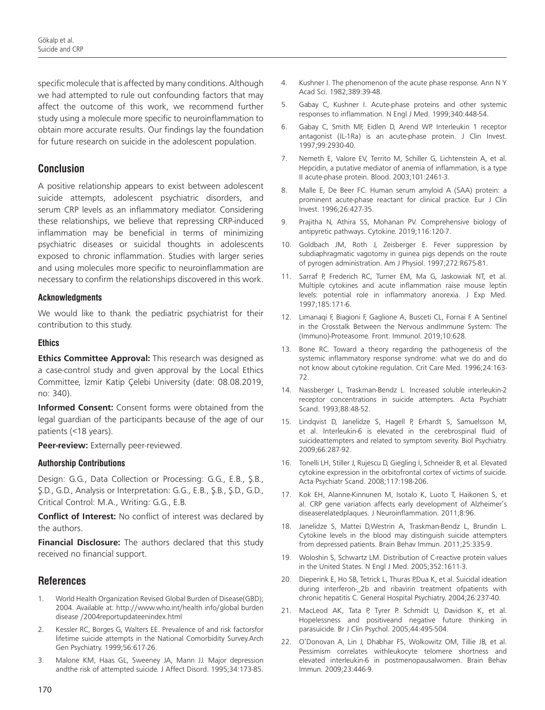specific molecule that is affected by many conditions. Although we had attempted to rule out confounding factors that may affect the outcome of this work, we recommend further study using a molecule more specific to neuroinflammation to obtain more accurate results. Our findings lay the foundation for future research on suicide in the adolescent population.

### **Conclusion**

A positive relationship appears to exist between adolescent suicide attempts, adolescent psychiatric disorders, and serum CRP levels as an inflammatory mediator. Considering these relationships, we believe that repressing CRP-induced inflammation may be beneficial in terms of minimizing psychiatric diseases or suicidal thoughts in adolescents exposed to chronic inflammation. Studies with larger series and using molecules more specific to neuroinflammation are necessary to confirm the relationships discovered in this work.

#### **Acknowledgments**

We would like to thank the pediatric psychiatrist for their contribution to this study.

#### **Ethics**

**Ethics Committee Approval:** This research was designed as a case-control study and given approval by the Local Ethics Committee, İzmir Katip Çelebi University (date: 08.08.2019, no: 340).

**Informed Consent:** Consent forms were obtained from the legal guardian of the participants because of the age of our patients (<18 years).

**Peer-review:** Externally peer-reviewed.

#### **Authorship Contributions**

Design: G.G., Data Collection or Processing: G.G., E.B., Ş.B., Ş.D., G.D., Analysis or Interpretation: G.G., E.B., Ş.B., Ş.D., G.D., Critical Control: M.A., Writing: G.G., E.B.

**Conflict of Interest:** No conflict of interest was declared by the authors.

**Financial Disclosure:** The authors declared that this study received no financial support.

#### **References**

- 1. World Health Organization Revised Global Burden of Disease(GBD); 2004. Available at: http://www.who.int/health info/global burden disease /2004reportupdateenindex.html
- 2. Kessler RC, Borges G, Walters EE. Prevalence of and risk factorsfor lifetime suicide attempts in the National Comorbidity Survey.Arch Gen Psychiatry. 1999;56:617-26.
- 3. Malone KM, Haas GL, Sweeney JA, Mann JJ. Major depression andthe risk of attempted suicide. J Affect Disord. 1995;34:173-85.
- 4. Kushner I. The phenomenon of the acute phase response. Ann N Y Acad Sci. 1982;389:39-48.
- 5. Gabay C, Kushner I. Acute-phase proteins and other systemic responses to inflammation. N Engl J Med. 1999;340:448-54.
- 6. Gabay C, Smith MF, Eidlen D, Arend WP. Interleukin 1 receptor antagonist (IL-1Ra) is an acute-phase protein. J Clin Invest. 1997;99:2930-40.
- 7. Nemeth E, Valore EV, Territo M, Schiller G, Lichtenstein A, et al. Hepcidin, a putative mediator of anemia of inflammation, is a type II acute-phase protein. Blood. 2003;101:2461-3.
- 8. Malle E, De Beer FC. Human serum amyloid A (SAA) protein: a prominent acute-phase reactant for clinical practice. Eur J Clin Invest. 1996;26:427-35.
- 9. Prajitha N, Athira SS, Mohanan PV. Comprehensive biology of antipyretic pathways. Cytokine. 2019;116:120-7.
- 10. Goldbach JM, Roth J, Zeisberger E. Fever suppression by subdiaphragmatic vagotomy in guinea pigs depends on the route of pyrogen administration. Am J Physiol. 1997;272:R675-81.
- 11. Sarraf P, Frederich RC, Turner EM, Ma G, Jaskowiak NT, et al. Multiple cytokines and acute inflammation raise mouse leptin levels: potential role in inflammatory anorexia. J Exp Med. 1997;185:171-6.
- 12. Limanaqi F, Biagioni F, Gaglione A, Busceti CL, Fornai F. A Sentinel in the Crosstalk Between the Nervous andImmune System: The (Immuno)-Proteasome. Front. Immunol. 2019;10:628.
- 13. Bone RC. Toward a theory regarding the pathogenesis of the systemic inflammatory response syndrome: what we do and do not know about cytokine regulation. Crit Care Med. 1996;24:163- 72.
- 14. Nassberger L, Traskman-Bendz L. Increased soluble interleukin-2 receptor concentrations in suicide attempters. Acta Psychiatr Scand. 1993;88:48-52.
- 15. Lindqvist D, Janelidze S, Hagell P, Erhardt S, Samuelsson M, et al. Interleukin-6 is elevated in the cerebrospinal fluid of suicideattempters and related to symptom severity. Biol Psychiatry. 2009;66:287-92.
- 16. Tonelli LH, Stiller J, Rujescu D, Giegling I, Schneider B, et al. Elevated cytokine expression in the orbitofrontal cortex of victims of suicide. Acta Psychiatr Scand. 2008;117:198-206.
- 17. Kok EH, Alanne-Kinnunen M, Isotalo K, Luoto T, Haikonen S, et al. CRP gene variation affects early development of Alzheimer's diseaserelatedplaques. J Neuroinflammation. 2011;8:96.
- 18. Janelidze S, Mattei D,Westrin A, Traskman-Bendz L, Brundin L. Cytokine levels in the blood may distinguish suicide attempters from depressed patients. Brain Behav Immun. 2011;25:335-9.
- 19. Woloshin S, Schwartz LM. Distribution of C-reactive protein values in the United States. N Engl J Med. 2005;352:1611-3.
- 20. Dieperink E, Ho SB, Tetrick L, Thuras P, Dua K, et al. Suicidal ideation during interferon-\_2b and ribavirin treatment ofpatients with chronic hepatitis C. General Hospital Psychiatry. 2004;26:237-40.
- 21. MacLeod AK, Tata P, Tyrer P. Schmidt U, Davidson K, et al. Hopelessness and positiveand negative future thinking in parasuicide. Br J Clin Psychol. 2005;44:495-504.
- 22. O'Donovan A, Lin J, Dhabhar FS, Wolkowitz OM, Tillie JB, et al. Pessimism correlates withleukocyte telomere shortness and elevated interleukin-6 in postmenopausalwomen. Brain Behav Immun. 2009;23:446-9.